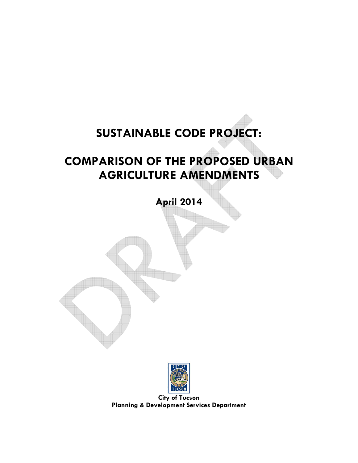# **SUSTAINABLE CODE PROJECT:**

# **COMPARISON OF THE PROPOSED URBAN AGRICULTURE AMENDMENTS**

**April 2014** 



**City of Tucson Planning & Development Services Department**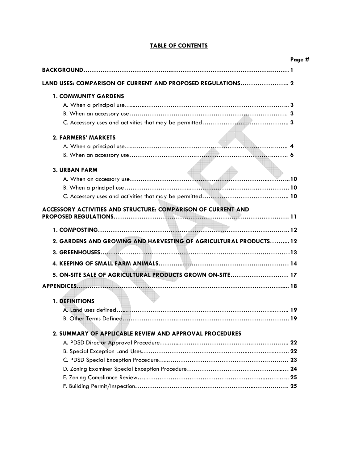|                                                                   | Page # |
|-------------------------------------------------------------------|--------|
|                                                                   |        |
| LAND USES: COMPARISON OF CURRENT AND PROPOSED REGULATIONS 2       |        |
| <b>1. COMMUNITY GARDENS</b>                                       |        |
|                                                                   |        |
|                                                                   |        |
|                                                                   |        |
| <b>2. FARMERS' MARKETS</b>                                        |        |
|                                                                   |        |
|                                                                   |        |
| <b>3. URBAN FARM</b>                                              |        |
|                                                                   |        |
|                                                                   |        |
|                                                                   |        |
| ACCESSORY ACTIVITIES AND STRUCTURE: COMPARISON OF CURRENT AND     |        |
|                                                                   |        |
| 2. GARDENS AND GROWING AND HARVESTING OF AGRICULTURAL PRODUCTS 12 |        |
|                                                                   |        |
|                                                                   |        |
| 5. ON-SITE SALE OF AGRICULTURAL PRODUCTS GROWN ON-SITE 17         |        |
|                                                                   |        |
| 1. DEFINITIONS                                                    |        |
|                                                                   |        |
| B. Other Terms Defined                                            |        |
|                                                                   |        |
| 2. SUMMARY OF APPLICABLE REVIEW AND APPROVAL PROCEDURES           |        |
|                                                                   |        |
|                                                                   |        |
|                                                                   |        |
|                                                                   |        |
|                                                                   |        |
|                                                                   |        |

# **TABLE OF CONTENTS**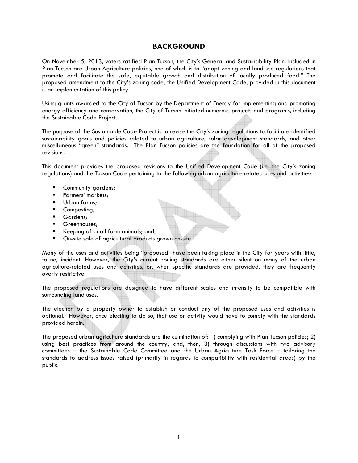# **BACKGROUND**

On November 5, 2013, voters ratified Plan Tucson, the City's General and Sustainability Plan. Included in Plan Tucson are Urban Agriculture policies, one of which is to "adopt zoning and land use regulations that promote and facilitate the safe, equitable growth and distribution of locally produced food." The proposed amendment to the City's zoning code, the Unified Development Code, provided in this document is an implementation of this policy.

Using grants awarded to the City of Tucson by the Department of Energy for implementing and promoting energy efficiency and conservation, the City of Tucson initiated numerous projects and programs, including the Sustainable Code Project.

The purpose of the Sustainable Code Project is to revise the City's zoning regulations to facilitate identified sustainability goals and policies related to urban agriculture, solar development standards, and other miscellaneous "green" standards. The Plan Tucson policies are the foundation for all of the proposed revisions.

This document provides the proposed revisions to the Unified Development Code (i.e. the City's zoning regulations) and the Tucson Code pertaining to the following urban agriculture-related uses and activities:

- Community gardens;
- **Farmers' markets;**
- **Urban farms;**
- Composting;
- **Gardens**;
- Greenhouses;
- Keeping of small farm animals; and,
- **P** On-site sale of agricultural products grown on-site.

Many of the uses and activities being "proposed" have been taking place in the City for years with little, to no, incident. However, the City's current zoning standards are either silent on many of the urban agriculture-related uses and activities, or, when specific standards are provided, they are frequently overly restrictive.

The proposed regulations are designed to have different scales and intensity to be compatible with surrounding land uses.

The election by a property owner to establish or conduct any of the proposed uses and activities is optional. However, once electing to do so, that use or activity would have to comply with the standards provided herein.

The proposed urban agriculture standards are the culmination of: 1) complying with Plan Tucson policies; 2) using best practices from around the country; and, then, 3) through discussions with two advisory committees – the Sustainable Code Committee and the Urban Agriculture Task Force – tailoring the standards to address issues raised (primarily in regards to compatibility with residential areas) by the public.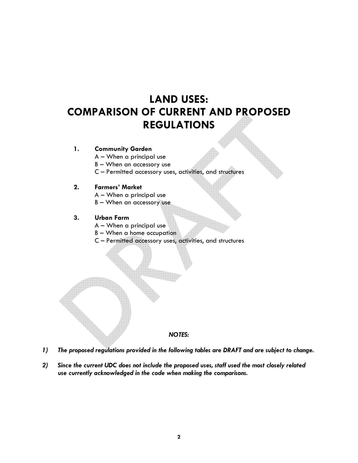# **LAND USES: COMPARISON OF CURRENT AND PROPOSED REGULATIONS**

## **1. Community Garden**

A – When a principal use

B – When an accessory use

C – Permitted accessory uses, activities, and structures

## **2. Farmers' Market**

- A When a principal use
- B When an accessory use

## **3. Urban Farm**

- A When a principal use
- B When a home occupation
- C Permitted accessory uses, activities, and structures



- *1) The proposed regulations provided in the following tables are DRAFT and are subject to change.*
- *2) Since the current UDC does not include the proposed uses, staff used the most closely related use currently acknowledged in the code when making the comparisons.*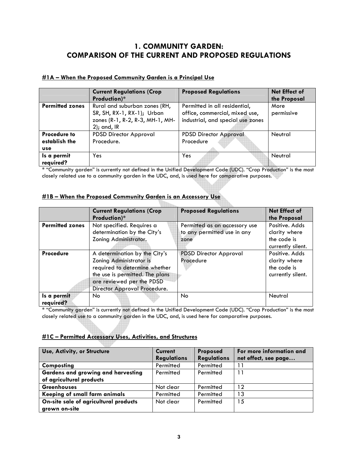# **1. COMMUNITY GARDEN: COMPARISON OF THE CURRENT AND PROPOSED REGULATIONS**

| #1A – When the Proposed Community Garden is a Principal Use |  |  |
|-------------------------------------------------------------|--|--|
|                                                             |  |  |

|                        | <b>Current Regulations (Crop</b> | <b>Proposed Regulations</b>       | Net Effect of |
|------------------------|----------------------------------|-----------------------------------|---------------|
|                        | Production)*                     |                                   | the Proposal  |
| <b>Permitted zones</b> | Rural and suburban zones (RH,    | Permitted in all residential,     | More          |
|                        | SR, SH, RX-1, RX-1); Urban       | office, commercial, mixed use,    | permissive    |
|                        | zones (R-1, R-2, R-3, MH-1, MH-  | industrial, and special use zones |               |
|                        | $2$ ); and, IR                   |                                   |               |
| <b>Procedure to</b>    | <b>PDSD Director Approval</b>    | <b>PDSD Director Approval</b>     | Neutral       |
| establish the          | Procedure.                       | Procedure                         |               |
| <b>use</b>             |                                  |                                   |               |
| Is a permit            | Yes                              | <b>Yes</b>                        | Neutral       |
| required?              |                                  |                                   |               |

\* "Community garden" is currently not defined in the Unified Development Code (UDC). "Crop Production" is the most closely related use to a community garden in the UDC, and, is used here for comparative purposes.

|  | #1B - When the Proposed Community Garden is an Accessory Use |  |
|--|--------------------------------------------------------------|--|
|  |                                                              |  |

|                          | <b>Current Regulations (Crop</b><br>Production)*                                                                                                                                          | <b>Proposed Regulations</b>                                          | <b>Net Effect of</b><br>the Proposal                                |
|--------------------------|-------------------------------------------------------------------------------------------------------------------------------------------------------------------------------------------|----------------------------------------------------------------------|---------------------------------------------------------------------|
| <b>Permitted zones</b>   | Not specified. Requires a<br>determination by the City's<br>Zoning Administrator.                                                                                                         | Permitted as an accessory use<br>to any permitted use in any<br>zone | Positive, Adds<br>clarity where<br>the code is<br>currently silent. |
| <b>Procedure</b>         | A determination by the City's<br>Zoning Administrator is<br>required to determine whether<br>the use is permitted. The plans<br>are reviewed per the PDSD<br>Director Approval Procedure. | <b>PDSD Director Approval</b><br>Procedure                           | Positive, Adds<br>clarity where<br>the code is<br>currently silent. |
| Is a permit<br>required? | No.                                                                                                                                                                                       | No.                                                                  | Neutral                                                             |

\* "Community garden" is currently not defined in the Unified Development Code (UDC). "Crop Production" is the most closely related use to a community garden in the UDC, and, is used here for comparative purposes.

# **#1C – Permitted Accessory Uses, Activities, and Structures**

| Use, Activity, or Structure               | <b>Current</b>     | Proposed           | For more information and |
|-------------------------------------------|--------------------|--------------------|--------------------------|
|                                           | <b>Regulations</b> | <b>Regulations</b> | net effect, see page     |
| Composting                                | Permitted          | Permitted          |                          |
| <b>Gardens and growing and harvesting</b> | Permitted          | Permitted          |                          |
| of agricultural products                  |                    |                    |                          |
| <b>Greenhouses</b>                        | Not clear          | Permitted          | 12                       |
| Keeping of small farm animals             | Permitted          | Permitted          | ∣3                       |
| On-site sale of agricultural products     | Not clear          | Permitted          | 15                       |
| grown on-site                             |                    |                    |                          |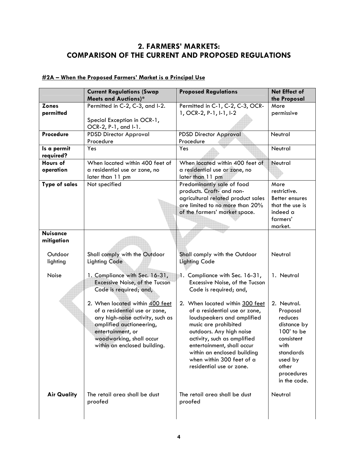# **2. FARMERS' MARKETS: COMPARISON OF THE CURRENT AND PROPOSED REGULATIONS**

|                               | <b>Current Regulations (Swap</b><br><b>Meets and Auctions)*</b>                                                                                                                                                   | <b>Proposed Regulations</b>                                                                                                                                                                                                                                                                             | <b>Net Effect of</b><br>the Proposal                                                                                                                 |
|-------------------------------|-------------------------------------------------------------------------------------------------------------------------------------------------------------------------------------------------------------------|---------------------------------------------------------------------------------------------------------------------------------------------------------------------------------------------------------------------------------------------------------------------------------------------------------|------------------------------------------------------------------------------------------------------------------------------------------------------|
| <b>Zones</b><br>permitted     | Permitted in C-2, C-3, and I-2.<br>Special Exception in OCR-1,<br>OCR-2, P-1, and I-1.                                                                                                                            | Permitted in C-1, C-2, C-3, OCR-<br>1, OCR-2, P-1, I-1, I-2                                                                                                                                                                                                                                             | More<br>permissive                                                                                                                                   |
| Procedure                     | <b>PDSD Director Approval</b><br>Procedure                                                                                                                                                                        | <b>PDSD Director Approval</b><br>Procedure                                                                                                                                                                                                                                                              | Neutral                                                                                                                                              |
| Is a permit<br>required?      | Yes                                                                                                                                                                                                               | Yes                                                                                                                                                                                                                                                                                                     | Neutral                                                                                                                                              |
| Hours of<br>operation         | When located within 400 feet of<br>a residential use or zone, no<br>later than 11 pm                                                                                                                              | When located within 400 feet of<br>a residential use or zone, no<br>later than 11 pm                                                                                                                                                                                                                    | Neutral                                                                                                                                              |
| <b>Type of sales</b>          | Not specified                                                                                                                                                                                                     | Predominantly sale of food<br>products. Craft- and non-<br>agricultural related product sales<br>are limited to no more than 20%<br>of the farmers' market space.                                                                                                                                       | More<br>restrictive.<br>Better ensures<br>that the use is<br>indeed a<br>farmers'<br>market.                                                         |
| <b>Nuisance</b><br>mitigation |                                                                                                                                                                                                                   |                                                                                                                                                                                                                                                                                                         |                                                                                                                                                      |
| Outdoor<br>lighting           | Shall comply with the Outdoor<br><b>Lighting Code</b>                                                                                                                                                             | Shall comply with the Outdoor<br><b>Lighting Code</b>                                                                                                                                                                                                                                                   | Neutral                                                                                                                                              |
| Noise                         | 1. Compliance with Sec. 16-31,<br>Excessive Noise, of the Tucson<br>Code is required; and,                                                                                                                        | 1. Compliance with Sec. 16-31,<br>Excessive Noise, of the Tucson<br>Code is required; and,                                                                                                                                                                                                              | 1. Neutral                                                                                                                                           |
|                               | 2. When located within 400 feet<br>of a residential use or zone,<br>any high-noise activity, such as<br>amplified auctioneering,<br>entertainment, or<br>woodworking, shall occur<br>within an enclosed building. | 2. When located within 300 feet<br>of a residential use or zone,<br>loudspeakers and amplified<br>music are prohibited<br>outdoors. Any high noise<br>activity, such as amplified<br>entertainment, shall occur<br>within an enclosed building<br>when within 300 feet of a<br>residential use or zone. | 2. Neutral.<br>Proposal<br>reduces<br>distance by<br>100' to be<br>consistent<br>with<br>standards<br>used by<br>other<br>procedures<br>in the code. |
| <b>Air Quality</b>            | The retail area shall be dust<br>proofed                                                                                                                                                                          | The retail area shall be dust<br>proofed                                                                                                                                                                                                                                                                | Neutral                                                                                                                                              |

# **#2A – When the Proposed Farmers' Market is a Principal Use**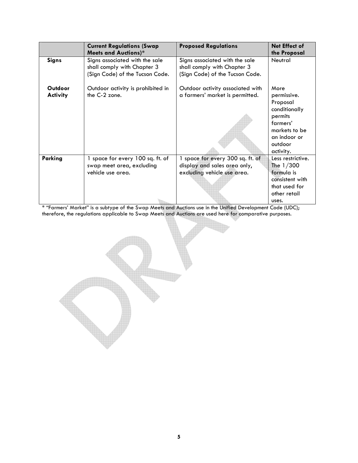|                            | <b>Current Regulations (Swap</b><br><b>Meets and Auctions)*</b>                                  | <b>Proposed Regulations</b>                                                                      | Net Effect of<br>the Proposal                                                                                                    |
|----------------------------|--------------------------------------------------------------------------------------------------|--------------------------------------------------------------------------------------------------|----------------------------------------------------------------------------------------------------------------------------------|
| <b>Signs</b>               | Signs associated with the sale<br>shall comply with Chapter 3<br>(Sign Code) of the Tucson Code. | Signs associated with the sale<br>shall comply with Chapter 3<br>(Sign Code) of the Tucson Code. | Neutral                                                                                                                          |
| Outdoor<br><b>Activity</b> | Outdoor activity is prohibited in<br>the C-2 zone.                                               | Outdoor activity associated with<br>a farmers' market is permitted.                              | More<br>permissive.<br>Proposal<br>conditionally<br>permits<br>farmers'<br>markets to be<br>an indoor or<br>outdoor<br>activity. |
| Parking                    | space for every 100 sq. ft. of<br>swap meet area, excluding<br>vehicle use area.                 | 1 space for every 300 sq. ft. of<br>display and sales area only,<br>excluding vehicle use area.  | Less restrictive.<br>The $1/300$<br>formula is<br>consistent with<br>that used for<br>other retail<br>uses.                      |

\* "Farmers' Market" is a subtype of the Swap Meets and Auctions use in the Unified Development Code (UDC); therefore, the regulations applicable to Swap Meets and Auctions are used here for comparative purposes.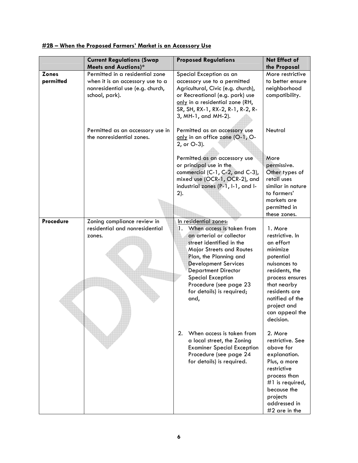|                           | <b>Current Regulations (Swap</b>                                                                                          | <b>Proposed Regulations</b>                                                                                                                                                                                                                                                                                                           | Net Effect of                                                                                                                                                                                                          |
|---------------------------|---------------------------------------------------------------------------------------------------------------------------|---------------------------------------------------------------------------------------------------------------------------------------------------------------------------------------------------------------------------------------------------------------------------------------------------------------------------------------|------------------------------------------------------------------------------------------------------------------------------------------------------------------------------------------------------------------------|
|                           | <b>Meets and Auctions)*</b>                                                                                               |                                                                                                                                                                                                                                                                                                                                       | the Proposal                                                                                                                                                                                                           |
| <b>Zones</b><br>permitted | Permitted in a residential zone<br>when it is an accessory use to a<br>nonresidential use (e.g. church,<br>school, park). | Special Exception as an<br>accessory use to a permitted<br>Agricultural, Civic (e.g. church),<br>or Recreational (e.g. park) use<br>only in a residential zone (RH,<br>SR, SH, RX-1, RX-2, R-1, R-2, R-<br>3, MH-1, and MH-2).                                                                                                        | More restrictive<br>to better ensure<br>neighborhood<br>compatibility.                                                                                                                                                 |
|                           | Permitted as an accessory use in<br>the nonresidential zones.                                                             | Permitted as an accessory use<br>only in an office zone (O-1, O-<br>2, or O-3).                                                                                                                                                                                                                                                       | Neutral                                                                                                                                                                                                                |
|                           |                                                                                                                           | Permitted as an accessory use<br>or principal use in the<br>commercial (C-1, C-2, and C-3),<br>mixed use (OCR-1, OCR-2), and<br>industrial zones (P-1, I-1, and I-<br>$2$ ).                                                                                                                                                          | More<br>permissive.<br>Other types of<br>retail uses<br>similar in nature<br>to farmers'<br>markets are<br>permitted in<br>these zones.                                                                                |
| Procedure                 | Zoning compliance review in<br>residential and nonresidential<br>zones.                                                   | In residential zones:<br>When access is taken from<br>1.<br>an arterial or collector<br>street identified in the<br><b>Major Streets and Routes</b><br>Plan, the Planning and<br><b>Development Services</b><br><b>Department Director</b><br><b>Special Exception</b><br>Procedure (see page 23<br>for details) is required;<br>and, | 1. More<br>restrictive. In<br>an effort<br>minimize<br>potential<br>nuisances to<br>residents, the<br>process ensures<br>that nearby<br>residents are<br>notified of the<br>project and<br>can appeal the<br>decision. |
|                           |                                                                                                                           | 2. When access is taken from<br>a local street, the Zoning<br><b>Examiner Special Exception</b><br>Procedure (see page 24<br>for details) is required.                                                                                                                                                                                | 2. More<br>restrictive. See<br>above for<br>explanation.<br>Plus, a more<br>restrictive<br>process than<br>#1 is required,<br>because the<br>projects<br>addressed in<br>$#2$ are in the                               |

# **#2B – When the Proposed Farmers' Market is an Accessory Use**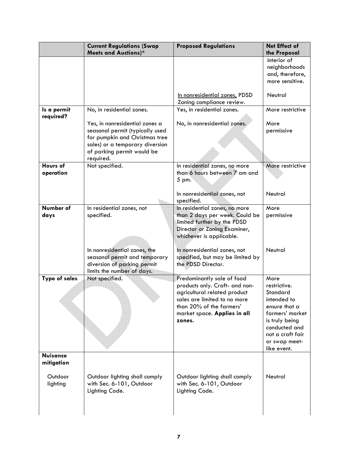|                               | <b>Current Regulations (Swap</b><br><b>Meets and Auctions)*</b>                                                                                                                   | <b>Proposed Regulations</b>                                                                                                                                                                        | Net Effect of<br>the Proposal                                                                                                                                              |
|-------------------------------|-----------------------------------------------------------------------------------------------------------------------------------------------------------------------------------|----------------------------------------------------------------------------------------------------------------------------------------------------------------------------------------------------|----------------------------------------------------------------------------------------------------------------------------------------------------------------------------|
|                               |                                                                                                                                                                                   |                                                                                                                                                                                                    | interior of<br>neighborhoods<br>and, therefore,<br>more sensitive.                                                                                                         |
|                               |                                                                                                                                                                                   | In nonresidential zones, PDSD<br>Zoning compliance review.                                                                                                                                         | Neutral                                                                                                                                                                    |
| Is a permit<br>required?      | No, in residential zones.                                                                                                                                                         | Yes, in residential zones.                                                                                                                                                                         | More restrictive                                                                                                                                                           |
|                               | Yes, in nonresidential zones a<br>seasonal permit (typically used<br>for pumpkin and Christmas tree<br>sales) or a temporary diversion<br>of parking permit would be<br>required. | No, in nonresidential zones.                                                                                                                                                                       | More<br>permissive                                                                                                                                                         |
| Hours of<br>operation         | Not specified.                                                                                                                                                                    | In residential zones, no more<br>than 6 hours between 7 am and<br>5 pm.                                                                                                                            | More restrictive                                                                                                                                                           |
|                               |                                                                                                                                                                                   | In nonresidential zones, not<br>specified.                                                                                                                                                         | Neutral                                                                                                                                                                    |
| Number of<br>days             | In residential zones, not<br>specified.                                                                                                                                           | In residential zones, no more<br>than 2 days per week. Could be<br>limited further by the PDSD<br>Director or Zoning Examiner,<br>whichever is applicable.                                         | More<br>permissive                                                                                                                                                         |
|                               | In nonresidential zones, the<br>seasonal permit and temporary<br>diversion of parking permit<br>limits the number of days.                                                        | In nonresidential zones, not<br>specified, but may be limited by<br>the PDSD Director.                                                                                                             | Neutral                                                                                                                                                                    |
| <b>Type of sales</b>          | Not specified.                                                                                                                                                                    | Predominantly sale of food<br>products only. Craft- and non-<br>agricultural related product<br>sales are limited to no more<br>than 20% of the farmers'<br>market space. Applies in all<br>zones. | More<br>restrictive.<br>Standard<br>intended to<br>ensure that a<br>farmers' market<br>is truly being<br>conducted and<br>not a craft fair<br>or swap meet-<br>like event. |
| <b>Nuisance</b><br>mitigation |                                                                                                                                                                                   |                                                                                                                                                                                                    |                                                                                                                                                                            |
| Outdoor<br>lighting           | Outdoor lighting shall comply<br>with Sec. 6-101, Outdoor<br>Lighting Code.                                                                                                       | Outdoor lighting shall comply<br>with Sec. 6-101, Outdoor<br>Lighting Code.                                                                                                                        | Neutral                                                                                                                                                                    |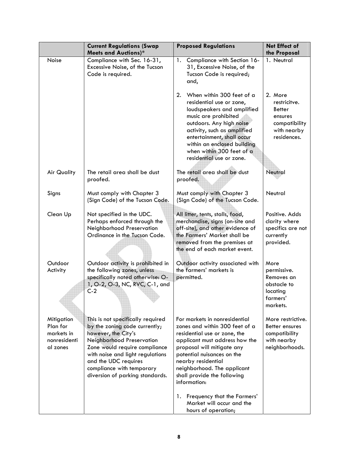|                                                                  | <b>Current Regulations (Swap</b>                                                                                                                                                                                                                                                    | <b>Proposed Regulations</b>                                                                                                                                                                                                                                                                                                                                         | Net Effect of                                                                                      |
|------------------------------------------------------------------|-------------------------------------------------------------------------------------------------------------------------------------------------------------------------------------------------------------------------------------------------------------------------------------|---------------------------------------------------------------------------------------------------------------------------------------------------------------------------------------------------------------------------------------------------------------------------------------------------------------------------------------------------------------------|----------------------------------------------------------------------------------------------------|
|                                                                  | <b>Meets and Auctions)*</b>                                                                                                                                                                                                                                                         |                                                                                                                                                                                                                                                                                                                                                                     | the Proposal                                                                                       |
| Noise                                                            | Compliance with Sec. 16-31,<br>Excessive Noise, of the Tucson<br>Code is required.                                                                                                                                                                                                  | 1.<br>Compliance with Section 16-<br>31, Excessive Noise, of the<br>Tucson Code is required;<br>and,                                                                                                                                                                                                                                                                | 1. Neutral                                                                                         |
|                                                                  |                                                                                                                                                                                                                                                                                     | 2.<br>When within 300 feet of a<br>residential use or zone,<br>loudspeakers and amplified<br>music are prohibited<br>outdoors. Any high noise<br>activity, such as amplified<br>entertainment, shall occur<br>within an enclosed building<br>when within 300 feet of a<br>residential use or zone.                                                                  | 2. More<br>restricitve.<br><b>Better</b><br>ensures<br>compatibility<br>with nearby<br>residences. |
| <b>Air Quality</b>                                               | The retail area shall be dust<br>proofed.                                                                                                                                                                                                                                           | The retail area shall be dust<br>proofed.                                                                                                                                                                                                                                                                                                                           | Neutral                                                                                            |
| Signs                                                            | Must comply with Chapter 3<br>(Sign Code) of the Tucson Code.                                                                                                                                                                                                                       | Must comply with Chapter 3<br>(Sign Code) of the Tucson Code.                                                                                                                                                                                                                                                                                                       | Neutral                                                                                            |
| Clean Up                                                         | Not specified in the UDC.<br>Perhaps enforced through the<br>Neighborhood Preservation<br>Ordinance in the Tucson Code.                                                                                                                                                             | All litter, tents, stalls, food,<br>merchandise, signs (on-site and<br>off-site), and other evidence of<br>the Farmers' Market shall be<br>removed from the premises at<br>the end of each market event.                                                                                                                                                            | Positive. Adds<br>clarity where<br>specifics are not<br>currently<br>provided.                     |
| Outdoor<br>Activity                                              | Outdoor activity is prohibited in<br>the following zones, unless<br>specifically noted otherwise: O-<br>1, O-2, O-3, NC, RVC, C-1, and<br>$C-2$                                                                                                                                     | Outdoor activity associated with<br>the farmers' markets is<br>permitted.                                                                                                                                                                                                                                                                                           | More<br>permissive.<br>Removes an<br>obstacle to<br>locating<br>farmers'<br>markets.               |
| Mitigation<br>Plan for<br>markets in<br>nonresidenti<br>al zones | This is not specifically required<br>by the zoning code currently;<br>however, the City's<br>Neighborhood Preservation<br>Zone would require compliance<br>with noise and light regulations<br>and the UDC requires<br>compliance with temporary<br>diversion of parking standards. | For markets in nonresidential<br>zones and within 300 feet of a<br>residential use or zone, the<br>applicant must address how the<br>proposal will mitigate any<br>potential nuisances on the<br>nearby residential<br>neighborhood. The applicant<br>shall provide the following<br>information:<br>Frequency that the Farmers'<br>1.<br>Market will occur and the | More restrictive.<br>Better ensures<br>compatibility<br>with nearby<br>neighborhoods.              |
|                                                                  |                                                                                                                                                                                                                                                                                     | hours of operation;                                                                                                                                                                                                                                                                                                                                                 |                                                                                                    |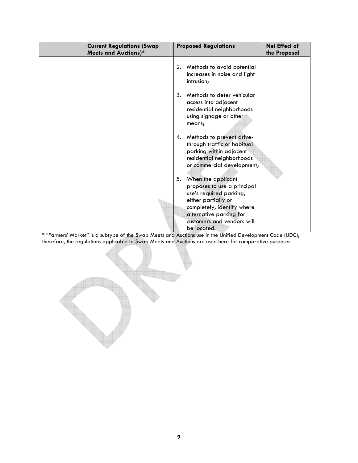| <b>Current Regulations (Swap</b><br><b>Meets and Auctions)*</b> | <b>Proposed Regulations</b>                                                                                                                                                                                     | Net Effect of<br>the Proposal |
|-----------------------------------------------------------------|-----------------------------------------------------------------------------------------------------------------------------------------------------------------------------------------------------------------|-------------------------------|
|                                                                 | Methods to avoid potential<br>2.<br>increases in noise and light<br>intrusion;                                                                                                                                  |                               |
|                                                                 | 3.<br>Methods to deter vehicular<br>access into adjacent<br>residential neighborhoods<br>using signage or other<br>means;                                                                                       |                               |
|                                                                 | Methods to prevent drive-<br>4.<br>through traffic or habitual<br>parking within adjacent<br>residential neighborhoods<br>or commercial development;                                                            |                               |
|                                                                 | When the applicant<br>5.<br>proposes to use a principal<br>use's required parking,<br>either partially or<br>completely, identify where<br>alternative parking for<br>customers and vendors will<br>be located. |                               |

\* "Farmers' Market" is a subtype of the Swap Meets and Auctions use in the Unified Development Code (UDC); therefore, the regulations applicable to Swap Meets and Auctions are used here for comparative purposes.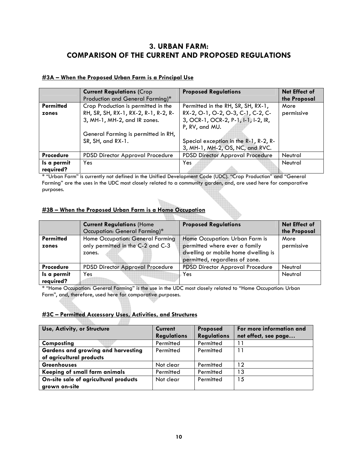# **3. URBAN FARM: COMPARISON OF THE CURRENT AND PROPOSED REGULATIONS**

## **#3A – When the Proposed Urban Farm is a Principal Use**

|                  | <b>Current Regulations (Crop</b>     | <b>Proposed Regulations</b>             | Net Effect of |
|------------------|--------------------------------------|-----------------------------------------|---------------|
|                  | Production and General Farming)*     |                                         | the Proposal  |
| <b>Permitted</b> | Crop Production is permitted in the  | Permitted in the RH, SR, SH, RX-1,      | More          |
| zones            | RH, SR, SH, RX-1, RX-2, R-1, R-2, R- | RX-2, O-1, O-2, O-3, C-1, C-2, C-       | permissive    |
|                  | 3, MH-1, MH-2, and IR zones.         | 3, OCR-1, OCR-2, P-1, I-1, I-2, IR,     |               |
|                  |                                      | P, RV, and MU.                          |               |
|                  | General Farming is permitted in RH,  |                                         |               |
|                  | SR, SH, and RX-1.                    | Special exception in the R-1, R-2, R-   |               |
|                  |                                      | 3, MH-1, MH-2, OS, NC, and RVC.         |               |
| <b>Procedure</b> | PDSD Director Approval Procedure     | <b>PDSD Director Approval Procedure</b> | Neutral       |
| Is a permit      | Yes                                  | Yes                                     | Neutral       |
| required?        |                                      |                                         |               |

\* "Urban Farm" is currently not defined in the Unified Development Code (UDC). "Crop Production" and "General Farming" are the uses in the UDC most closely related to a community garden, and, are used here for comparative purposes.

## **#3B – When the Proposed Urban Farm is a Home Occupation**

|                  | <b>Current Regulations (Home</b>            | <b>Proposed Regulations</b>                                                                            | <b>Net Effect of</b> |
|------------------|---------------------------------------------|--------------------------------------------------------------------------------------------------------|----------------------|
|                  | Occupation: General Farming)*               |                                                                                                        | the Proposal         |
| <b>Permitted</b> | Home Occupation: General Farming            | Home Occupation: Urban Farm is                                                                         | More                 |
| zones            | only permitted in the C-2 and C-3<br>zones. | permitted where ever a family<br>dwelling or mobile home dwelling is<br>permitted, regardless of zone. | permissive           |
| <b>Procedure</b> | <b>PDSD Director Approval Procedure</b>     | <b>PDSD Director Approval Procedure</b>                                                                | Neutral              |
| Is a permit      | Yes                                         | Yes                                                                                                    | Neutral              |
| required?        |                                             |                                                                                                        |                      |

\* "Home Occupation: General Farming" is the use in the UDC most closely related to "Home Occupation: Urban Farm", and, therefore, used here for comparative purposes.

#### **#3C – Permitted Accessory Uses, Activities, and Structures** ANDI

ere.

| Use, Activity, or Structure               | <b>Current</b>     | <b>Proposed</b>    | For more information and |
|-------------------------------------------|--------------------|--------------------|--------------------------|
|                                           | <b>Regulations</b> | <b>Regulations</b> | net effect, see page     |
| Composting                                | Permitted          | Permitted          |                          |
| <b>Gardens and growing and harvesting</b> | Permitted          | Permitted          | 11                       |
| of agricultural products                  |                    |                    |                          |
| <b>Greenhouses</b>                        | Not clear          | Permitted          | 12                       |
| Keeping of small farm animals             | Permitted          | Permitted          | ۱3                       |
| On-site sale of agricultural products     | Not clear          | Permitted          | 15                       |
| grown on-site                             |                    |                    |                          |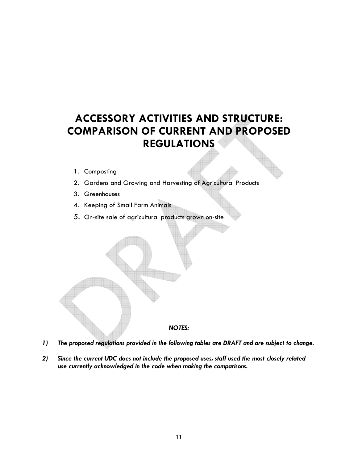# **ACCESSORY ACTIVITIES AND STRUCTURE: COMPARISON OF CURRENT AND PROPOSED REGULATIONS**

- 1. Composting
- 2. Gardens and Growing and Harvesting of Agricultural Products
- 3. Greenhouses
- 4. Keeping of Small Farm Animals
- 5. On-site sale of agricultural products grown on-site



- *1) The proposed regulations provided in the following tables are DRAFT and are subject to change.*
- *2) Since the current UDC does not include the proposed uses, staff used the most closely related use currently acknowledged in the code when making the comparisons.*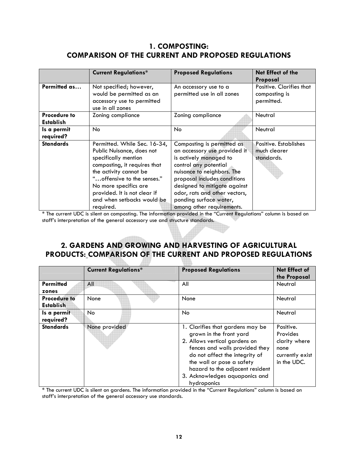# **1. COMPOSTING: COMPARISON OF THE CURRENT AND PROPOSED REGULATIONS**

|                                         | <b>Current Regulations*</b>                                                                                                                                                                                                                                                    | <b>Proposed Regulations</b>                                                                                                                                                                                                                                                                         | Net Effect of the<br>Proposal                           |
|-----------------------------------------|--------------------------------------------------------------------------------------------------------------------------------------------------------------------------------------------------------------------------------------------------------------------------------|-----------------------------------------------------------------------------------------------------------------------------------------------------------------------------------------------------------------------------------------------------------------------------------------------------|---------------------------------------------------------|
| Permitted as                            | Not specified; however,<br>would be permitted as an<br>accessory use to permitted<br>use in all zones                                                                                                                                                                          | An accessory use to a<br>permitted use in all zones                                                                                                                                                                                                                                                 | Positive. Clarifies that<br>composting is<br>permitted. |
| <b>Procedure to</b><br><b>Establish</b> | Zoning compliance                                                                                                                                                                                                                                                              | Zoning compliance                                                                                                                                                                                                                                                                                   | Neutral                                                 |
| Is a permit<br>required?                | No                                                                                                                                                                                                                                                                             | No.                                                                                                                                                                                                                                                                                                 | Neutral                                                 |
| <b>Standards</b>                        | Permitted. While Sec. 16-34,<br>Public Nuisance, does not<br>specifically mention<br>composting, it requires that<br>the activity cannot be<br>" offensive to the senses."<br>No more specifics are<br>provided. It is not clear if<br>and when setbacks would be<br>required. | Composting is permitted as<br>an accessory use provided it<br>is actively managed to<br>control any potential<br>nuisance to neighbors. The<br>proposal includes conditions<br>designed to mitigate against<br>odor, rats and other vectors,<br>ponding surface water,<br>among other requirements. | Positive. Establishes<br>much clearer<br>standards.     |

\* The current UDC is silent on composting. The information provided in the "Current Regulations" column is based on staff's interpretation of the general accessory use and structure standards.

# **2. GARDENS AND GROWING AND HARVESTING OF AGRICULTURAL PRODUCTS: COMPARISON OF THE CURRENT AND PROPOSED REGULATIONS**

|                                         | <b>Current Regulations*</b> | <b>Proposed Regulations</b>                                                                                                                                                                                                                                                       | <b>Net Effect of</b><br>the Proposal                                             |
|-----------------------------------------|-----------------------------|-----------------------------------------------------------------------------------------------------------------------------------------------------------------------------------------------------------------------------------------------------------------------------------|----------------------------------------------------------------------------------|
| <b>Permitted</b><br>zones               | All                         | All                                                                                                                                                                                                                                                                               | Neutral                                                                          |
| <b>Procedure to</b><br><b>Establish</b> | None                        | None                                                                                                                                                                                                                                                                              | Neutral                                                                          |
| Is a permit<br>required?                | No                          | <b>No</b>                                                                                                                                                                                                                                                                         | Neutral                                                                          |
| <b>Standards</b>                        | None provided               | 1. Clarifies that gardens may be<br>grown in the front yard<br>2. Allows vertical gardens on<br>fences and walls provided they<br>do not affect the integrity of<br>the wall or pose a safety<br>hazard to the adjacent resident<br>3. Acknowledges aquaponics and<br>hydroponics | Positive.<br>Provides<br>clarity where<br>none<br>currently exist<br>in the UDC. |

\* The current UDC is silent on gardens. The information provided in the "Current Regulations" column is based on staff's interpretation of the general accessory use standards.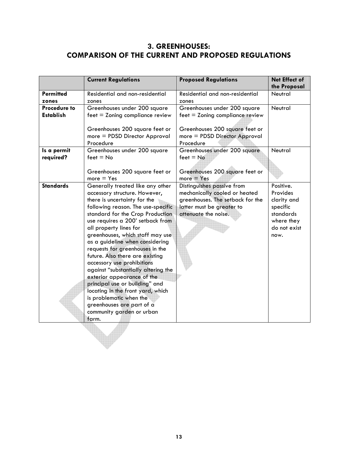# **3. GREENHOUSES: COMPARISON OF THE CURRENT AND PROPOSED REGULATIONS**

|                                         | <b>Current Regulations</b>                                                                                                                                                                                                                                                                                                                                                                                                                                                                                                                                                                                                                                     | <b>Proposed Regulations</b>                                                                                                                          | Net Effect of<br>the Proposal                                                                       |
|-----------------------------------------|----------------------------------------------------------------------------------------------------------------------------------------------------------------------------------------------------------------------------------------------------------------------------------------------------------------------------------------------------------------------------------------------------------------------------------------------------------------------------------------------------------------------------------------------------------------------------------------------------------------------------------------------------------------|------------------------------------------------------------------------------------------------------------------------------------------------------|-----------------------------------------------------------------------------------------------------|
| <b>Permitted</b><br>zones               | Residential and non-residential<br>zones                                                                                                                                                                                                                                                                                                                                                                                                                                                                                                                                                                                                                       | Residential and non-residential<br>zones                                                                                                             | Neutral                                                                                             |
| <b>Procedure to</b><br><b>Establish</b> | Greenhouses under 200 square<br>$feet = Zoning$ compliance review<br>Greenhouses 200 square feet or<br>more = PDSD Director Approval<br>Procedure                                                                                                                                                                                                                                                                                                                                                                                                                                                                                                              | Greenhouses under 200 square<br>$feet = Zoning$ compliance review<br>Greenhouses 200 square feet or<br>more = PDSD Director Approval<br>Procedure    | Neutral                                                                                             |
| Is a permit<br>required?                | Greenhouses under 200 square<br>$feet = No$<br>Greenhouses 200 square feet or<br>$more = Yes$                                                                                                                                                                                                                                                                                                                                                                                                                                                                                                                                                                  | Greenhouses under 200 square<br>$feet = No$<br>Greenhouses 200 square feet or<br>$more = Yes$                                                        | Neutral                                                                                             |
| <b>Standards</b>                        | Generally treated like any other<br>accessory structure. However,<br>there is uncertainty for the<br>following reason. The use-specific<br>standard for the Crop Production<br>use requires a 200' setback from<br>all property lines for<br>greenhouses, which staff may use<br>as a guideline when considering<br>requests for greenhouses in the<br>future. Also there are existing<br>accessory use prohibitions<br>against "substantially altering the<br>exterior appearance of the<br>principal use or building" and<br>locating in the front yard, which<br>is problematic when the<br>greenhouses are part of a<br>community garden or urban<br>farm. | Distinguishes passive from<br>mechanically cooled or heated<br>greenhouses. The setback for the<br>latter must be greater to<br>attenuate the noise. | Positive.<br>Provides<br>clarity and<br>specific<br>standards<br>where they<br>do not exist<br>now. |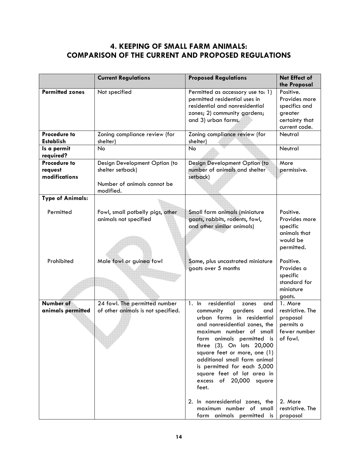# **4. KEEPING OF SMALL FARM ANIMALS: COMPARISON OF THE CURRENT AND PROPOSED REGULATIONS**

|                                                 | <b>Current Regulations</b>                                                                    | <b>Proposed Regulations</b>                                                                                                                                                                                                                                                                                                                                                                                                                               | Net Effect of<br>the Proposal                                                                                   |
|-------------------------------------------------|-----------------------------------------------------------------------------------------------|-----------------------------------------------------------------------------------------------------------------------------------------------------------------------------------------------------------------------------------------------------------------------------------------------------------------------------------------------------------------------------------------------------------------------------------------------------------|-----------------------------------------------------------------------------------------------------------------|
| <b>Permitted zones</b>                          | Not specified                                                                                 | Permitted as accessory use to: 1)<br>permitted residential uses in<br>residential and nonresidential<br>zones; 2) community gardens;<br>and 3) urban farms.                                                                                                                                                                                                                                                                                               | Positive.<br>Provides more<br>specifics and<br>greater<br>certainty that<br>current code.                       |
| <b>Procedure to</b><br><b>Establish</b>         | Zoning compliance review (for<br>shelter)                                                     | Zoning compliance review (for<br>shelter)                                                                                                                                                                                                                                                                                                                                                                                                                 | Neutral                                                                                                         |
| Is a permit<br>required?                        | No                                                                                            | <b>No</b>                                                                                                                                                                                                                                                                                                                                                                                                                                                 | Neutral                                                                                                         |
| <b>Procedure to</b><br>request<br>modifications | Design Development Option (to<br>shelter setback)<br>Number of animals cannot be<br>modified. | Design Development Option (to<br>number of animals and shelter<br>setback)                                                                                                                                                                                                                                                                                                                                                                                | More<br>permissive.                                                                                             |
| <b>Type of Animals:</b>                         |                                                                                               |                                                                                                                                                                                                                                                                                                                                                                                                                                                           |                                                                                                                 |
| Permitted                                       | Fowl, small potbelly pigs, other<br>animals not specified                                     | Small farm animals (miniature<br>goats, rabbits, rodents, fowl,<br>and other similar animals)                                                                                                                                                                                                                                                                                                                                                             | Positive.<br>Provides more<br>specific<br>animals that<br>would be<br>permitted.                                |
| Prohibited                                      | Male fowl or guinea fowl                                                                      | Same, plus uncastrated miniature<br>goats over 5 months                                                                                                                                                                                                                                                                                                                                                                                                   | Positive.<br>Provides a<br>specific<br>standard for<br>miniature<br>goats.                                      |
| <b>Number of</b><br>animals permitted           | 24 fowl. The permitted number<br>of other animals is not specified.                           | residential<br>1. In<br>zones<br>and<br>community<br>gardens<br>and<br>urban farms in residential<br>and nonresidential zones, the<br>maximum number of small<br>farm animals permitted is<br>three (3). On lots 20,000<br>square feet or more, one (1)<br>additional small farm animal<br>is permitted for each 5,000<br>square feet of lot area in<br>excess<br>of 20,000 square<br>feet.<br>2. In nonresidential zones, the<br>maximum number of small | 1. More<br>restrictive. The<br>proposal<br>permits a<br>fewer number<br>of fowl.<br>2. More<br>restrictive. The |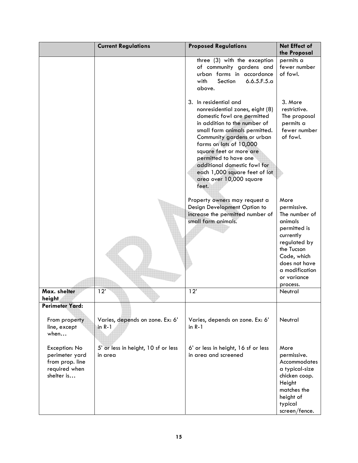|                                                                                   | <b>Current Regulations</b>                     | <b>Proposed Regulations</b>                                                                                                                                                                                                                                                                                                                                                | Net Effect of                                                                                                                                                                           |
|-----------------------------------------------------------------------------------|------------------------------------------------|----------------------------------------------------------------------------------------------------------------------------------------------------------------------------------------------------------------------------------------------------------------------------------------------------------------------------------------------------------------------------|-----------------------------------------------------------------------------------------------------------------------------------------------------------------------------------------|
|                                                                                   |                                                |                                                                                                                                                                                                                                                                                                                                                                            | the Proposal                                                                                                                                                                            |
|                                                                                   |                                                | three (3) with the exception<br>of community gardens and<br>urban farms in accordance<br>6.6.5.F.5.a<br>with<br>Section<br>above.                                                                                                                                                                                                                                          | permits a<br>fewer number<br>of fowl.                                                                                                                                                   |
|                                                                                   |                                                | 3. In residential and<br>nonresidential zones, eight (8)<br>domestic fowl are permitted<br>in addition to the number of<br>small farm animals permitted.<br>Community gardens or urban<br>farms on lots of 10,000<br>square feet or more are<br>permitted to have one<br>additional domestic fowl for<br>each 1,000 square feet of lot<br>area over 10,000 square<br>feet. | 3. More<br>restrictive.<br>The proposal<br>permits a<br>fewer number<br>of fowl.                                                                                                        |
|                                                                                   |                                                | Property owners may request a<br>Design Development Option to<br>increase the permitted number of<br>small farm animals.                                                                                                                                                                                                                                                   | More<br>permissive.<br>The number of<br>animals<br>permitted is<br>currently<br>regulated by<br>the Tucson<br>Code, which<br>does not have<br>a modification<br>or variance<br>process. |
| Max. shelter<br>height<br><b>Perimeter Yard:</b>                                  | 12'                                            | 12'                                                                                                                                                                                                                                                                                                                                                                        | Neutral                                                                                                                                                                                 |
| From property<br>line, except<br>when                                             | Varies, depends on zone. Ex: 6'<br>in R-1      | Varies, depends on zone. Ex: 6'<br>in $R-1$                                                                                                                                                                                                                                                                                                                                | Neutral                                                                                                                                                                                 |
| Exception: No<br>perimeter yard<br>from prop. line<br>required when<br>shelter is | 5' or less in height, 10 sf or less<br>in area | 6' or less in height, 16 sf or less<br>in area and screened                                                                                                                                                                                                                                                                                                                | More<br>permissive.<br>Accommodates<br>a typical-size<br>chicken coop.<br>Height<br>matches the<br>height of<br>typical<br>screen/fence.                                                |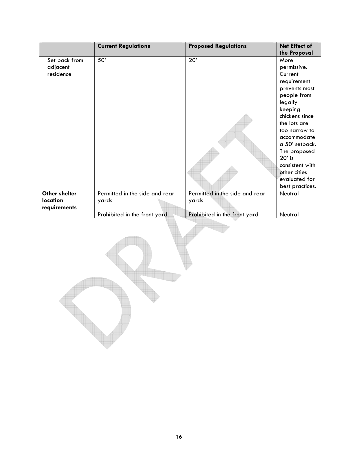|               | <b>Current Regulations</b>     | <b>Proposed Regulations</b>    | Net Effect of   |
|---------------|--------------------------------|--------------------------------|-----------------|
|               |                                |                                | the Proposal    |
| Set back from | 50'                            | 20'                            | More            |
| adjacent      |                                |                                | permissive.     |
| residence     |                                |                                | Current         |
|               |                                |                                | requirement     |
|               |                                |                                | prevents most   |
|               |                                |                                | people from     |
|               |                                |                                | legally         |
|               |                                |                                | keeping         |
|               |                                |                                | chickens since  |
|               |                                |                                | the lots are    |
|               |                                |                                | too narrow to   |
|               |                                |                                | accommodate     |
|               |                                |                                | a 50' setback.  |
|               |                                |                                | The proposed    |
|               |                                |                                | $20'$ is        |
|               |                                |                                | consistent with |
|               |                                |                                | other cities    |
|               |                                |                                | evaluated for   |
|               |                                |                                | best practices. |
| Other shelter | Permitted in the side and rear | Permitted in the side and rear | Neutral         |
| location      | yards                          | yards                          |                 |
| requirements  |                                |                                |                 |
|               | Prohibited in the front yard   | Prohibited in the front yard   | Neutral         |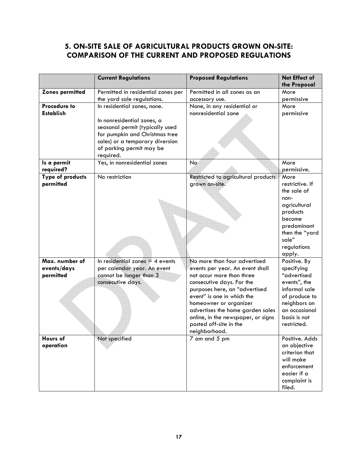# **5. ON-SITE SALE OF AGRICULTURAL PRODUCTS GROWN ON-SITE: COMPARISON OF THE CURRENT AND PROPOSED REGULATIONS**

|                               | <b>Current Regulations</b>         | <b>Proposed Regulations</b>                                 | Net Effect of                 |
|-------------------------------|------------------------------------|-------------------------------------------------------------|-------------------------------|
|                               |                                    |                                                             | the Proposal                  |
| <b>Zones permitted</b>        | Permitted in residential zones per | Permitted in all zones as an                                | More                          |
|                               | the yard sale regulations.         | accessory use.                                              | permissive                    |
| <b>Procedure to</b>           | In residential zones, none.        | None, in any residential or                                 | More                          |
| <b>Establish</b>              |                                    | nonresidential zone                                         | permissive                    |
|                               | In nonresidential zones, a         |                                                             |                               |
|                               | seasonal permit (typically used    |                                                             |                               |
|                               | for pumpkin and Christmas tree     |                                                             |                               |
|                               | sales) or a temporary diversion    |                                                             |                               |
|                               | of parking permit may be           |                                                             |                               |
|                               | required.                          |                                                             |                               |
| Is a permit                   | Yes, in nonresidential zones       | No                                                          | More<br>permissive.           |
| required?<br>Type of products | No restriction                     | Restricted to agricultural products                         | More                          |
| permitted                     |                                    | grown on-site.                                              | restrictive. If               |
|                               |                                    |                                                             | the sale of                   |
|                               |                                    |                                                             | non-                          |
|                               |                                    |                                                             | agricultural                  |
|                               |                                    |                                                             | products                      |
|                               |                                    |                                                             | become                        |
|                               |                                    |                                                             | predominant                   |
|                               |                                    |                                                             | then the "yard                |
|                               |                                    |                                                             | sale"                         |
|                               |                                    |                                                             | regulations                   |
|                               |                                    |                                                             | apply.                        |
| Max. number of                | In residential zones $=$ 4 events  | No more than four advertised                                | Positive. By                  |
| events/days                   | per calendar year. An event        | events per year. An event shall                             | specifying                    |
| permitted                     | cannot be longer than 3            | not occur more than three                                   | "advertised                   |
|                               | consecutive days.                  | consecutive days. For the                                   | events", the                  |
|                               |                                    | purposes here, an "advertised<br>event" is one in which the | informal sale                 |
|                               |                                    | homeowner or organizer                                      | of produce to<br>neighbors on |
|                               |                                    | advertises the home garden sales                            | an occasional                 |
|                               |                                    | online, in the newspaper, or signs                          | basis is not                  |
|                               |                                    | posted off-site in the                                      | restricted.                   |
|                               |                                    | neighborhood.                                               |                               |
| Hours of                      | Not specified                      | 7 am and 5 pm                                               | Positive. Adds                |
| operation                     |                                    |                                                             | an objective                  |
|                               |                                    |                                                             | criterion that                |
|                               |                                    |                                                             | will make                     |
|                               |                                    |                                                             | enforcement                   |
|                               |                                    |                                                             | easier if a                   |
|                               |                                    |                                                             | complaint is                  |
|                               |                                    |                                                             | filed.                        |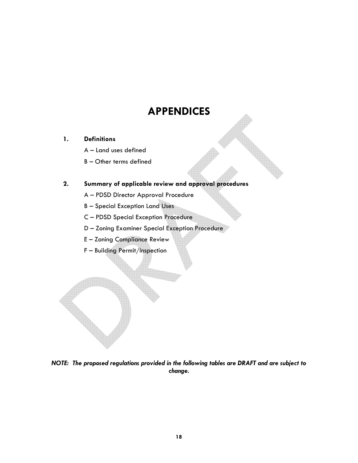# **APPENDICES**

# **1. Definitions**

- A Land uses defined
- B Other terms defined

# **2. Summary of applicable review and approval procedures**

- A PDSD Director Approval Procedure
- B Special Exception Land Uses
- C PDSD Special Exception Procedure
- D Zoning Examiner Special Exception Procedure
- E Zoning Compliance Review
- F Building Permit/Inspection

*NOTE: The proposed regulations provided in the following tables are DRAFT and are subject to change.*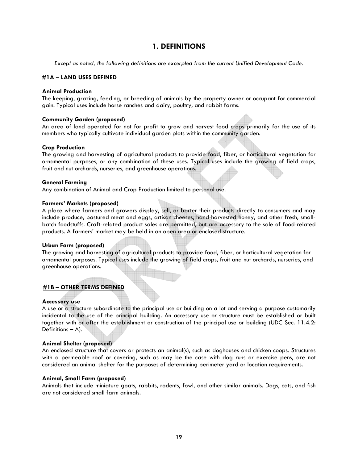# **1. DEFINITIONS**

*Except as noted, the following definitions are excerpted from the current Unified Development Code.* 

#### **#1A – LAND USES DEFINED**

#### **Animal Production**

The keeping, grazing, feeding, or breeding of animals by the property owner or occupant for commercial gain. Typical uses include horse ranches and dairy, poultry, and rabbit farms.

#### **Community Garden (proposed)**

An area of land operated for not for profit to grow and harvest food crops primarily for the use of its members who typically cultivate individual garden plots within the community garden.

#### **Crop Production**

The growing and harvesting of agricultural products to provide food, fiber, or horticultural vegetation for ornamental purposes, or any combination of these uses. Typical uses include the growing of field crops, fruit and nut orchards, nurseries, and greenhouse operations.

#### **General Farming**

Any combination of Animal and Crop Production limited to personal use.

#### **Farmers' Markets (proposed)**

A place where farmers and growers display, sell, or barter their products directly to consumers and may include produce, pastured meat and eggs, artisan cheeses, hand-harvested honey, and other fresh, smallbatch foodstuffs. Craft-related product sales are permitted, but are accessory to the sale of food-related products. A farmers' market may be held in an open area or enclosed structure.

#### **Urban Farm (proposed)**

The growing and harvesting of agricultural products to provide food, fiber, or horticultural vegetation for ornamental purposes. Typical uses include the growing of field crops, fruit and nut orchards, nurseries, and greenhouse operations.

## **#1B – OTHER TERMS DEFINED**

#### **Accessory use**

A use or a structure subordinate to the principal use or building on a lot and serving a purpose customarily incidental to the use of the principal building. An accessory use or structure must be established or built together with or after the establishment or construction of the principal use or building (UDC Sec. 11.4.2: Definitions – A).

#### **Animal Shelter (proposed)**

An enclosed structure that covers or protects an animal(s), such as doghouses and chicken coops. Structures with a permeable roof or covering, such as may be the case with dog runs or exercise pens, are not considered an animal shelter for the purposes of determining perimeter yard or location requirements.

#### **Animal, Small Farm (proposed)**

Animals that include miniature goats, rabbits, rodents, fowl, and other similar animals. Dogs, cats, and fish are not considered small farm animals.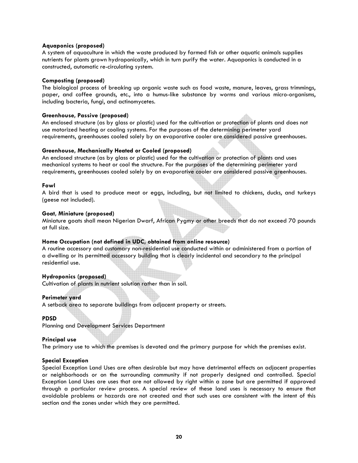## **Aquaponics (proposed)**

A system of aquaculture in which the waste produced by farmed fish or other aquatic animals supplies nutrients for plants grown hydroponically, which in turn purify the water. Aquaponics is conducted in a constructed, automatic re-circulating system.

## **Composting (proposed)**

The biological process of breaking up organic waste such as food waste, manure, leaves, grass trimmings, paper, and coffee grounds, etc., into a humus-like substance by worms and various micro-organisms, including bacteria, fungi, and actinomycetes.

#### **Greenhouse, Passive (proposed)**

An enclosed structure (as by glass or plastic) used for the cultivation or protection of plants and does not use motorized heating or cooling systems. For the purposes of the determining perimeter yard requirements, greenhouses cooled solely by an evaporative cooler are considered passive greenhouses.

#### **Greenhouse, Mechanically Heated or Cooled (proposed)**

An enclosed structure (as by glass or plastic) used for the cultivation or protection of plants and uses mechanical systems to heat or cool the structure. For the purposes of the determining perimeter yard requirements, greenhouses cooled solely by an evaporative cooler are considered passive greenhouses.

#### **Fowl**

A bird that is used to produce meat or eggs, including, but not limited to chickens, ducks, and turkeys (geese not included).

#### **Goat, Miniature (proposed)**

Miniature goats shall mean Nigerian Dwarf, African Pygmy or other breeds that do not exceed 70 pounds at full size.

## **Home Occupation (not defined in UDC, obtained from online resource)**

A routine accessory and customary non-residential use conducted within or administered from a portion of a dwelling or its permitted accessory building that is clearly incidental and secondary to the principal residential use.

## **Hydroponics (proposed)**

Cultivation of plants in nutrient solution rather than in soil.

#### **Perimeter yard**

A setback area to separate buildings from adjacent property or streets.

## **PDSD**

Planning and Development Services Department

#### **Principal use**

The primary use to which the premises is devoted and the primary purpose for which the premises exist.

## **Special Exception**

Special Exception Land Uses are often desirable but may have detrimental effects on adjacent properties or neighborhoods or on the surrounding community if not properly designed and controlled. Special Exception Land Uses are uses that are not allowed by right within a zone but are permitted if approved through a particular review process. A special review of these land uses is necessary to ensure that avoidable problems or hazards are not created and that such uses are consistent with the intent of this section and the zones under which they are permitted.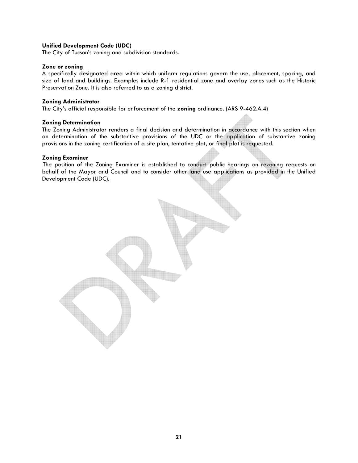## **Unified Development Code (UDC)**

The City of Tucson's zoning and subdivision standards.

## **Zone or zoning**

A specifically designated area within which uniform regulations govern the use, placement, spacing, and size of land and buildings. Examples include R-1 residential zone and overlay zones such as the Historic Preservation Zone. It is also referred to as a zoning district.

#### **Zoning Administrator**

The City's official responsible for enforcement of the **zoning** ordinance. (ARS 9-462.A.4)

#### **Zoning Determination**

The Zoning Administrator renders a final decision and determination in accordance with this section when an determination of the substantive provisions of the UDC or the application of substantive zoning provisions in the zoning certification of a site plan, tentative plat, or final plat is requested.

#### **Zoning Examiner**

The position of the Zoning Examiner is established to conduct public hearings on rezoning requests on behalf of the Mayor and Council and to consider other land use applications as provided in the Unified Development Code (UDC).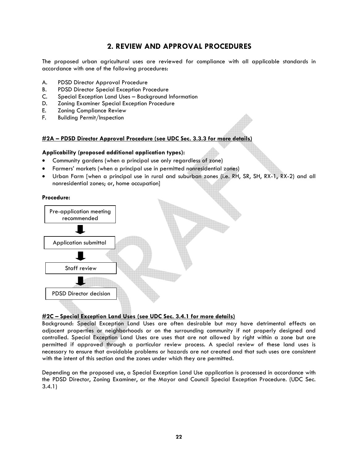# **2. REVIEW AND APPROVAL PROCEDURES**

The proposed urban agricultural uses are reviewed for compliance with all applicable standards in accordance with one of the following procedures:

- A. PDSD Director Approval Procedure
- B. PDSD Director Special Exception Procedure
- C. Special Exception Land Uses Background Information
- D. Zoning Examiner Special Exception Procedure
- E. Zoning Compliance Review
- F. Building Permit/Inspection

## **#2A – PDSD Director Approval Procedure (see UDC Sec. 3.3.3 for more details)**

#### **Applicability (proposed additional application types):**

- Community gardens (when a principal use only regardless of zone)
- Farmers' markets (when a principal use in permitted nonresidential zones)
- Urban Farm [when a principal use in rural and suburban zones (i.e. RH, SR, SH, RX-1, RX-2) and all nonresidential zones; or, home occupation]

#### **Procedure:**



## **#2C – Special Exception Land Uses (see UDC Sec. 3.4.1 for more details)**

Background: Special Exception Land Uses are often desirable but may have detrimental effects on adjacent properties or neighborhoods or on the surrounding community if not properly designed and controlled. Special Exception Land Uses are uses that are not allowed by right within a zone but are permitted if approved through a particular review process. A special review of these land uses is necessary to ensure that avoidable problems or hazards are not created and that such uses are consistent with the intent of this section and the zones under which they are permitted.

Depending on the proposed use, a Special Exception Land Use application is processed in accordance with the PDSD Director, Zoning Examiner, or the Mayor and Council Special Exception Procedure. (UDC Sec. 3.4.1)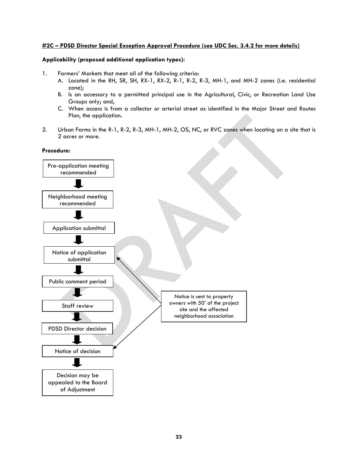## **#2C – PDSD Director Special Exception Approval Procedure (see UDC Sec. 3.4.2 for more details)**

## **Applicability (proposed additional application types):**

- 1. Farmers' Markets that meet all of the following criteria:
	- A. Located in the RH, SR, SH, RX-1, RX-2, R-1, R-2, R-3, MH-1, and MH-2 zones (i.e. residential zone);
	- B. Is an accessory to a permitted principal use in the Agricultural, Civic, or Recreation Land Use Groups only; and,
	- C. When access is from a collector or arterial street as identified in the Major Street and Routes Plan, the application.
- 2. Urban Farms in the R-1, R-2, R-3, MH-1, MH-2, OS, NC, or RVC zones when locating on a site that is 2 acres or more.

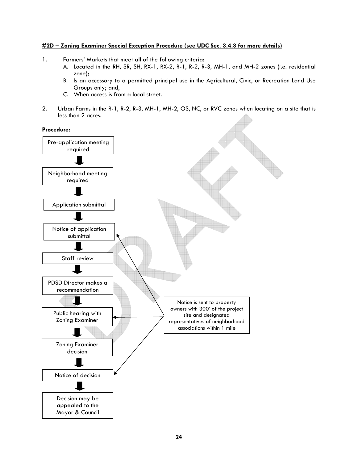## **#2D – Zoning Examiner Special Exception Procedure (see UDC Sec. 3.4.3 for more details)**

- 1. Farmers' Markets that meet all of the following criteria:
	- A. Located in the RH, SR, SH, RX-1, RX-2, R-1, R-2, R-3, MH-1, and MH-2 zones (i.e. residential zone);
	- B. Is an accessory to a permitted principal use in the Agricultural, Civic, or Recreation Land Use Groups only; and,
	- C. When access is from a local street.
- 2. Urban Farms in the R-1, R-2, R-3, MH-1, MH-2, OS, NC, or RVC zones when locating on a site that is less than 2 acres.